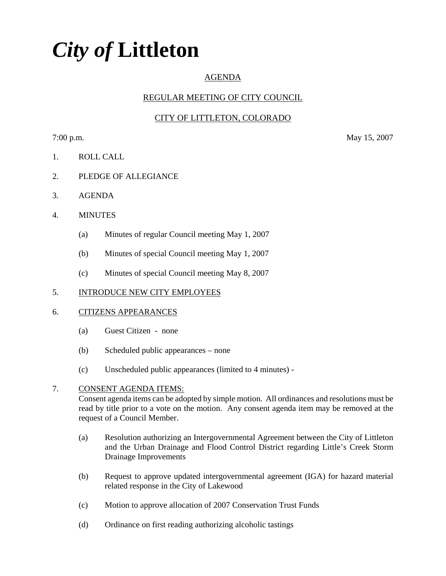# *City of* **Littleton**

# AGENDA

# REGULAR MEETING OF CITY COUNCIL

# CITY OF LITTLETON, COLORADO

7:00 p.m. May 15, 2007

- 1. ROLL CALL
- 2. PLEDGE OF ALLEGIANCE
- 3. AGENDA
- 4. MINUTES
	- (a) Minutes of regular Council meeting May 1, 2007
	- (b) Minutes of special Council meeting May 1, 2007
	- (c) Minutes of special Council meeting May 8, 2007

### 5. INTRODUCE NEW CITY EMPLOYEES

### 6. CITIZENS APPEARANCES

- (a) Guest Citizen none
- (b) Scheduled public appearances none
- (c) Unscheduled public appearances (limited to 4 minutes) -

### 7. CONSENT AGENDA ITEMS:

Consent agenda items can be adopted by simple motion. All ordinances and resolutions must be read by title prior to a vote on the motion. Any consent agenda item may be removed at the request of a Council Member.

- (a) Resolution authorizing an Intergovernmental Agreement between the City of Littleton and the Urban Drainage and Flood Control District regarding Little's Creek Storm Drainage Improvements
- (b) Request to approve updated intergovernmental agreement (IGA) for hazard material related response in the City of Lakewood
- (c) Motion to approve allocation of 2007 Conservation Trust Funds
- (d) Ordinance on first reading authorizing alcoholic tastings